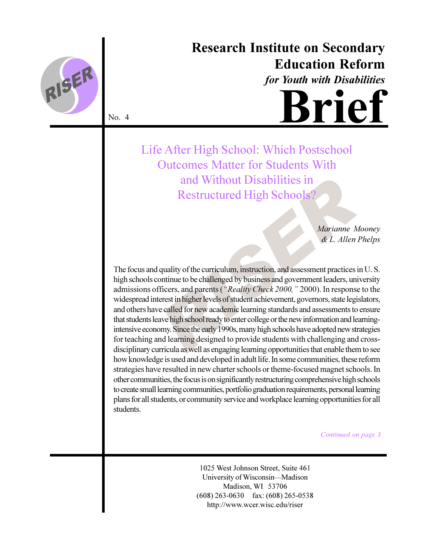

# **Research Institute on Secondary Education Reform**

for Youth with Disabilities



No. 4

Life After High School: Which Postschool **Outcomes Matter for Students With** and Without Disabilities in **Restructured High Schools?** 

> Marianne Mooney & L. Allen Phelps

The focus and quality of the curriculum, instruction, and assessment practices in U.S. high schools continue to be challenged by business and government leaders, university admissions officers, and parents ("Reality Check 2000," 2000). In response to the widespread interest in higher levels of student achievement, governors, state legislators, and others have called for new academic learning standards and assessments to ensure that students leave high school ready to enter college or the new information and learningintensive economy. Since the early 1990s, many high schools have adopted new strategies for teaching and learning designed to provide students with challenging and crossdisciplinary curricula as well as engaging learning opportunities that enable them to see how knowledge is used and developed in adult life. In some communities, these reform strategies have resulted in new charter schools or theme-focused magnet schools. In other communities, the focus is on significantly restructuring comprehensive high schools to create small learning communities, portfolio graduation requirements, personal learning plans for all students, or community service and workplace learning opportunities for all students.

Continued on page 3

1025 West Johnson Street, Suite 461 University of Wisconsin-Madison Madison, WI 53706  $(608)$  263-0630 fax:  $(608)$  265-0538 http://www.wcer.wisc.edu/riser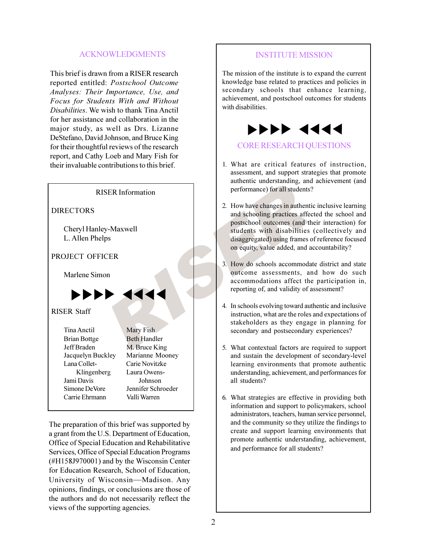## **ACKNOWLEDGMENTS**

This brief is drawn from a RISER research reported entitled: Postschool Outcome Analyses: Their Importance, Use, and Focus for Students With and Without Disabilities. We wish to thank Tina Anctil for her assistance and collaboration in the major study, as well as Drs. Lizanne DeStefano, David Johnson, and Bruce King for their thoughtful reviews of the research report, and Cathy Loeb and Mary Fish for their invaluable contributions to this brief.



The preparation of this brief was supported by a grant from the U.S. Department of Education, Office of Special Education and Rehabilitative Services, Office of Special Education Programs  $(\text{\#H158J970001})$  and by the Wisconsin Center for Education Research, School of Education, University of Wisconsin-Madison. Any opinions, findings, or conclusions are those of the authors and do not necessarily reflect the views of the supporting agencies.

#### **INSTITUTE MISSION**

The mission of the institute is to expand the current knowledge base related to practices and policies in secondary schools that enhance learning, achievement, and postschool outcomes for students with disabilities



## **CORE RESEARCH QUESTIONS**

- 1. What are critical features of instruction, assessment, and support strategies that promote authentic understanding, and achievement (and performance) for all students?
- 2. How have changes in authentic inclusive learning and schooling practices affected the school and postschool outcomes (and their interaction) for students with disabilities (collectively and disaggregated) using frames of reference focused on equity, value added, and accountability?
- 3. How do schools accommodate district and state outcome assessments, and how do such accommodations affect the participation in, reporting of, and validity of assessment?
- 4. In schools evolving toward authentic and inclusive instruction, what are the roles and expectations of stakeholders as they engage in planning for secondary and postsecondary experiences?
- 5. What contextual factors are required to support and sustain the development of secondary-level learning environments that promote authentic understanding, achievement, and performances for all students?
- 6. What strategies are effective in providing both information and support to policymakers, school administrators, teachers, human service personnel, and the community so they utilize the findings to create and support learning environments that promote authentic understanding, achievement, and performance for all students?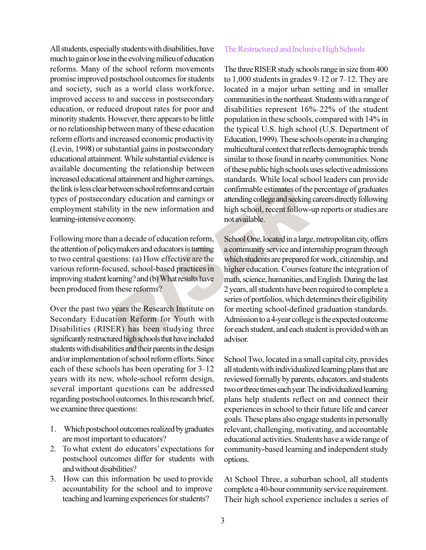All students, especially students with disabilities, have much to gain or lose in the evolving milieu of education reforms. Many of the school reform movements promise improved postschool outcomes for students and society, such as a world class workforce, improved access to and success in postsecondary education, or reduced dropout rates for poor and minority students. However, there appears to be little or no relationship between many of these education reform efforts and increased economic productivity (Levin, 1998) or substantial gains in postsecondary educational attainment. While substantial evidence is available documenting the relationship between increased educational attainment and higher earnings, the link is less clear between school reforms and certain types of postsecondary education and earnings or employment stability in the new information and learning-intensive economy.

Following more than a decade of education reform, the attention of policymakers and educators is turning to two central questions: (a) How effective are the various reform-focused, school-based practices in improving student learning? and (b) What results have been produced from these reforms?

Over the past two years the Research Institute on Secondary Education Reform for Youth with Disabilities (RISER) has been studying three significantly restructured high schools that have included students with disabilities and their parents in the design and/or implementation of school reform efforts. Since each of these schools has been operating for 3–12 years with its new, whole-school reform design, several important questions can be addressed regarding postschool outcomes. In this research brief, we examine three questions:

- 1. Which postschool outcomes realized by graduates are most important to educators?
- 2. To what extent do educators' expectations for postschool outcomes differ for students with and without disabilities?
- 3. How can this information be used to provide accountability for the school and to improve teaching and learning experiences for students?

## The Restructured and Inclusive High Schools

The three RISER study schools range in size from 400 to 1,000 students in grades  $9-12$  or  $7-12$ . They are located in a major urban setting and in smaller communities in the northeast. Students with a range of disabilities represent  $16\% - 22\%$  of the student population in these schools, compared with 14% in the typical U.S. high school (U.S. Department of Education, 1999). These schools operate in a changing multicultural context that reflects demographic trends similar to those found in nearby communities. None of these public high schools uses selective admissions standards. While local school leaders can provide confirmable estimates of the percentage of graduates attending college and seeking careers directly following high school, recent follow-up reports or studies are not available.

School One, located in a large, metropolitan city, offers a community service and internship program through which students are prepared for work, citizenship, and higher education. Courses feature the integration of math, science, humanities, and English. During the last 2 years, all students have been required to complete a series of portfolios, which determines their eligibility for meeting school-defined graduation standards. Admission to a 4-year college is the expected outcome for each student, and each student is provided with an advisor.

School Two, located in a small capital city, provides all students with individualized learning plans that are reviewed formally by parents, educators, and students two or three times each year. The individualized learning plans help students reflect on and connect their experiences in school to their future life and career goals. These plans also engage students in personally relevant, challenging, motivating, and accountable educational activities. Students have a wide range of community-based learning and independent study options.

At School Three, a suburban school, all students complete a 40-hour community service requirement. Their high school experience includes a series of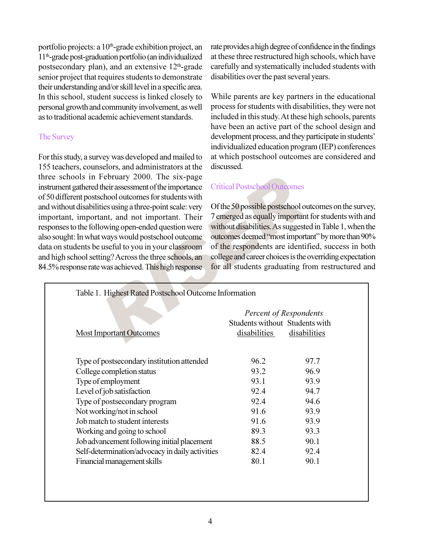portfolio projects: a 10<sup>th</sup>-grade exhibition project, an 11<sup>th</sup>-grade post-graduation portfolio (an individualized postsecondary plan), and an extensive 12<sup>th</sup>-grade senior project that requires students to demonstrate their understanding and/or skill level in a specific area. In this school, student success is linked closely to personal growth and community involvement, as well as to traditional academic achievement standards.

## **The Survey**

For this study, a survey was developed and mailed to 155 teachers, counselors, and administrators at the three schools in February 2000. The six-page instrument gathered their assessment of the importance of 50 different postschool outcomes for students with and without disabilities using a three-point scale: very important, important, and not important. Their responses to the following open-ended question were also sought: In what ways would postschool outcome data on students be useful to you in your classroom and high school setting? Across the three schools, an 84.5% response rate was achieved. This high response rate provides a high degree of confidence in the findings at these three restructured high schools, which have carefully and systematically included students with disabilities over the past several years.

While parents are key partners in the educational process for students with disabilities, they were not included in this study. At these high schools, parents have been an active part of the school design and development process, and they participate in students' individualized education program (IEP) conferences at which postschool outcomes are considered and discussed.

## **Critical Postschool Outcomes**

Of the 50 possible postschool outcomes on the survey, 7 emerged as equally important for students with and without disabilities. As suggested in Table 1, when the outcomes deemed "most important" by more than 90% of the respondents are identified, success in both college and career choices is the overriding expectation for all students graduating from restructured and

| <b>Most Important Outcomes</b>                  | <b>Percent of Respondents</b>                  |              |
|-------------------------------------------------|------------------------------------------------|--------------|
|                                                 | Students without Students with<br>disabilities | disabilities |
| Type of postsecondary institution attended      | 96.2                                           | 97.7         |
| College completion status                       | 93.2                                           | 96.9         |
| Type of employment                              | 93.1                                           | 93.9         |
| Level of job satisfaction                       | 92.4                                           | 94.7         |
| Type of postsecondary program                   | 92.4                                           | 94.6         |
| Not working/not in school                       | 91.6                                           | 93.9         |
| Job match to student interests                  | 91.6                                           | 93.9         |
| Working and going to school                     | 89.3                                           | 93.3         |
| Job advancement following initial placement     | 88.5                                           | 90.1         |
| Self-determination/advocacy in daily activities | 82.4                                           | 92.4         |
| Financial management skills                     | 80.1                                           | 90.1         |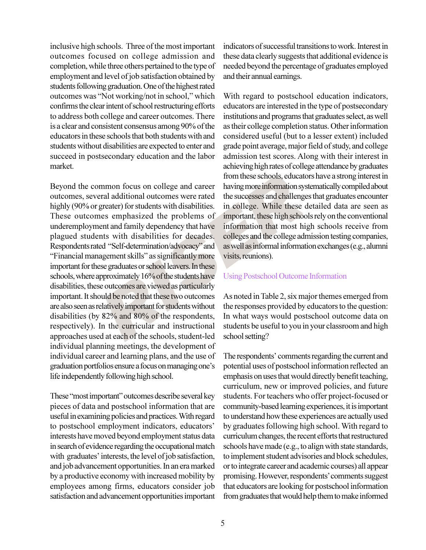inclusive high schools. Three of the most important outcomes focused on college admission and completion, while three others pertained to the type of employment and level of job satisfaction obtained by students following graduation. One of the highest rated outcomes was "Not working/not in school," which confirms the clear intent of school restructuring efforts to address both college and career outcomes. There is a clear and consistent consensus among 90% of the educators in these schools that both students with and students without disabilities are expected to enter and succeed in postsecondary education and the labor market.

Beyond the common focus on college and career outcomes, several additional outcomes were rated highly (90% or greater) for students with disabilities. These outcomes emphasized the problems of underemployment and family dependency that have plagued students with disabilities for decades. Respondents rated "Self-determination/advocacy" and "Financial management skills" as significantly more important for these graduates or school leavers. In these schools, where approximately 16% of the students have disabilities, these outcomes are viewed as particularly important. It should be noted that these two outcomes are also seen as relatively important for students without disabilities (by 82% and 80% of the respondents, respectively). In the curricular and instructional approaches used at each of the schools, student-led individual planning meetings, the development of individual career and learning plans, and the use of graduation portfolios ensure a focus on managing one's life independently following high school.

These "most important" outcomes describe several key pieces of data and postschool information that are useful in examining policies and practices. With regard to postschool employment indicators, educators' interests have moved beyond employment status data in search of evidence regarding the occupational match with graduates' interests, the level of job satisfaction, and job advancement opportunities. In an era marked by a productive economy with increased mobility by employees among firms, educators consider job satisfaction and advancement opportunities important indicators of successful transitions to work. Interest in these data clearly suggests that additional evidence is needed beyond the percentage of graduates employed and their annual earnings.

With regard to postschool education indicators, educators are interested in the type of postsecondary institutions and programs that graduates select, as well as their college completion status. Other information considered useful (but to a lesser extent) included grade point average, major field of study, and college admission test scores. Along with their interest in achieving high rates of college attendance by graduates from these schools, educators have a strong interest in having more information systematically compiled about the successes and challenges that graduates encounter in college. While these detailed data are seen as important, these high schools rely on the conventional information that most high schools receive from colleges and the college admission testing companies, as well as informal information exchanges (e.g., alumni visits, reunions).

#### **Using Postschool Outcome Information**

As noted in Table 2, six major themes emerged from the responses provided by educators to the question: In what ways would postschool outcome data on students be useful to you in your classroom and high school setting?

The respondents' comments regarding the current and potential uses of postschool information reflected an emphasis on uses that would directly benefit teaching, curriculum, new or improved policies, and future students. For teachers who offer project-focused or community-based learning experiences, it is important to understand how these experiences are actually used by graduates following high school. With regard to curriculum changes, the recent efforts that restructured schools have made (e.g., to align with state standards, to implement student advisories and block schedules, or to integrate career and academic courses) all appear promising. However, respondents' comments suggest that educators are looking for postschool information from graduates that would help them to make informed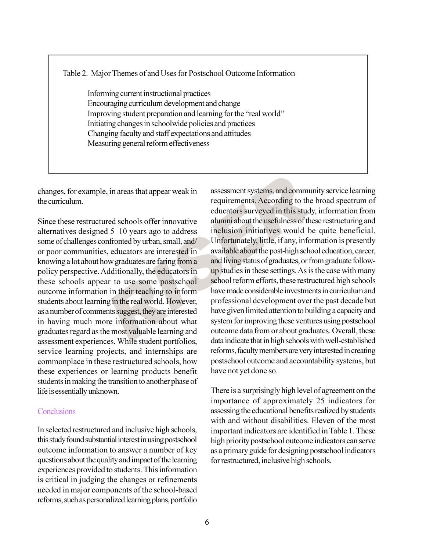Table 2. Major Themes of and Uses for Postschool Outcome Information

Informing current instructional practices Encouraging curriculum development and change Improving student preparation and learning for the "real world" Initiating changes in schoolwide policies and practices Changing faculty and staff expectations and attitudes Measuring general reform effectiveness

changes, for example, in areas that appear weak in the curriculum.

Since these restructured schools offer innovative alternatives designed  $5-10$  years ago to address some of challenges confronted by urban, small, and/ or poor communities, educators are interested in knowing a lot about how graduates are faring from a policy perspective. Additionally, the educators in these schools appear to use some postschool outcome information in their teaching to inform students about learning in the real world. However, as a number of comments suggest, they are interested in having much more information about what graduates regard as the most valuable learning and assessment experiences. While student portfolios, service learning projects, and internships are commonplace in these restructured schools, how these experiences or learning products benefit students in making the transition to another phase of life is essentially unknown.

#### Conclusions

In selected restructured and inclusive high schools, this study found substantial interest in using postschool outcome information to answer a number of key questions about the quality and impact of the learning experiences provided to students. This information is critical in judging the changes or refinements needed in major components of the school-based reforms, such as personalized learning plans, portfolio

assessment systems, and community service learning requirements. According to the broad spectrum of educators surveyed in this study, information from alumni about the usefulness of these restructuring and inclusion initiatives would be quite beneficial. Unfortunately, little, if any, information is presently available about the post-high school education, career, and living status of graduates, or from graduate followup studies in these settings. As is the case with many school reform efforts, these restructured high schools have made considerable investments in curriculum and professional development over the past decade but have given limited attention to building a capacity and system for improving these ventures using postschool outcome data from or about graduates. Overall, these data indicate that in high schools with well-established reforms, faculty members are very interested in creating postschool outcome and accountability systems, but have not yet done so.

There is a surprisingly high level of agreement on the importance of approximately 25 indicators for assessing the educational benefits realized by students with and without disabilities. Eleven of the most important indicators are identified in Table 1. These high priority postschool outcome indicators can serve as a primary guide for designing postschool indicators for restructured, inclusive high schools.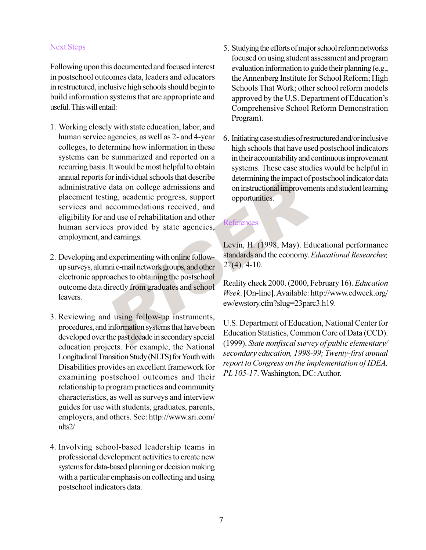## **Next Steps**

Following upon this documented and focused interest in postschool outcomes data, leaders and educators in restructured, inclusive high schools should begin to build information systems that are appropriate and useful. This will entail:

- 1. Working closely with state education, labor, and human service agencies, as well as 2- and 4-year colleges, to determine how information in these systems can be summarized and reported on a recurring basis. It would be most helpful to obtain annual reports for individual schools that describe administrative data on college admissions and placement testing, academic progress, support services and accommodations received, and eligibility for and use of rehabilitation and other human services provided by state agencies, employment, and earnings.
- 2. Developing and experimenting with online followup surveys, alumni e-mail network groups, and other electronic approaches to obtaining the postschool outcome data directly from graduates and school leavers.
- 3. Reviewing and using follow-up instruments, procedures, and information systems that have been developed over the past decade in secondary special education projects. For example, the National Longitudinal Transition Study (NLTS) for Youth with Disabilities provides an excellent framework for examining postschool outcomes and their relationship to program practices and community characteristics, as well as surveys and interview guides for use with students, graduates, parents, employers, and others. See: http://www.sri.com/  $n$ lts $2/$
- 4. Involving school-based leadership teams in professional development activities to create new systems for data-based planning or decision making with a particular emphasis on collecting and using postschool indicators data.
- 5. Studying the efforts of major school reform networks focused on using student assessment and program evaluation information to guide their planning (e.g., the Annenberg Institute for School Reform; High Schools That Work; other school reform models approved by the U.S. Department of Education's Comprehensive School Reform Demonstration Program).
- 6. Initiating case studies of restructured and/or inclusive high schools that have used postschool indicators in their accountability and continuous improvement systems. These case studies would be helpful in determining the impact of postschool indicator data on instructional improvements and student learning opportunities.

## References

Levin, H. (1998, May). Educational performance standards and the economy. Educational Researcher.  $27(4)$ , 4-10.

Reality check 2000. (2000, February 16). Education Week. [On-line]. Available: http://www.edweek.org/ ew/ewstory.cfm?slug=23parc3.h19.

U.S. Department of Education, National Center for Education Statistics, Common Core of Data (CCD). (1999). State nonfiscal survey of public elementary/ secondary education, 1998-99; Twenty-first annual report to Congress on the implementation of IDEA, PL 105-17. Washington, DC: Author.